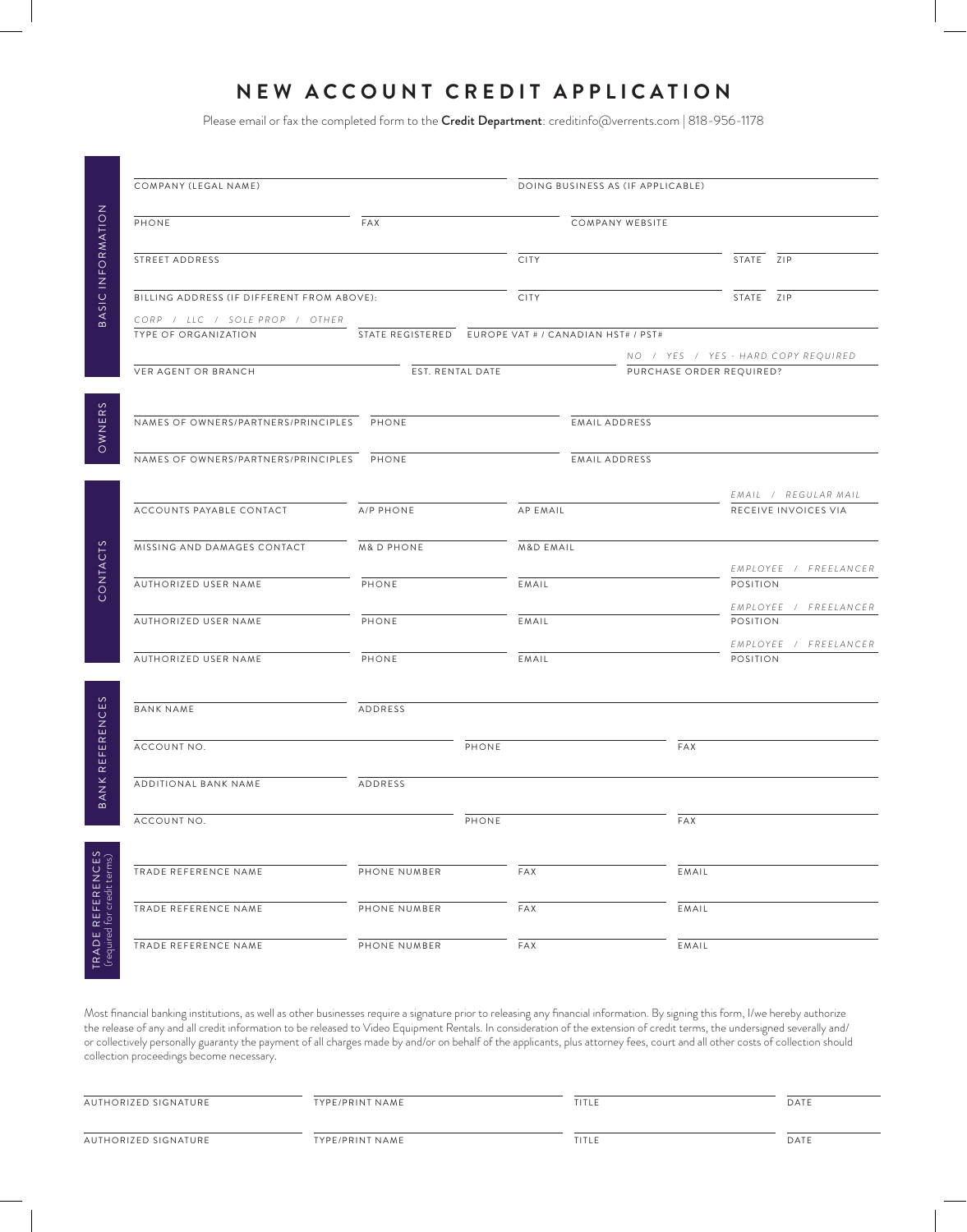# **NEW ACCOUNT CREDIT APPLICATION**

Please email or fax the completed form to the Credit Department: creditinfo@verrents.com | 818-956-1178

|                                 | COMPANY (LEGAL NAME)                                   |                                                      |             | DOING BUSINESS AS (IF APPLICABLE) |                 |                          |                 |                                              |
|---------------------------------|--------------------------------------------------------|------------------------------------------------------|-------------|-----------------------------------|-----------------|--------------------------|-----------------|----------------------------------------------|
|                                 | PHONE                                                  | FAX                                                  |             |                                   | COMPANY WEBSITE |                          |                 |                                              |
| BASIC INFORMATION               | STREET ADDRESS                                         |                                                      |             | <b>CITY</b>                       |                 |                          | STATE ZIP       |                                              |
|                                 | BILLING ADDRESS (IF DIFFERENT FROM ABOVE):             |                                                      | <b>CITY</b> |                                   |                 | STATE ZIP                |                 |                                              |
|                                 | CORP / LLC / SOLE PROP / OTHER<br>TYPE OF ORGANIZATION | STATE REGISTERED EUROPE VAT # / CANADIAN HST# / PST# |             |                                   |                 |                          |                 | NO / YES / YES - HARD COPY REQUIRED          |
|                                 | VER AGENT OR BRANCH                                    | EST. RENTAL DATE                                     |             |                                   |                 | PURCHASE ORDER REQUIRED? |                 |                                              |
| OWNERS                          | NAMES OF OWNERS/PARTNERS/PRINCIPLES PHONE              |                                                      |             |                                   | EMAIL ADDRESS   |                          |                 |                                              |
|                                 | NAMES OF OWNERS/PARTNERS/PRINCIPLES                    | <b>PHONE</b>                                         |             |                                   | EMAIL ADDRESS   |                          |                 |                                              |
|                                 | ACCOUNTS PAYABLE CONTACT                               | A/P PHONE                                            |             | <b>AP EMAIL</b>                   |                 |                          |                 | EMAIL / REGULAR MAIL<br>RECEIVE INVOICES VIA |
|                                 | MISSING AND DAMAGES CONTACT                            | <b>M&amp;D PHONE</b>                                 |             | <b>M&amp;D EMAIL</b>              |                 |                          |                 | EMPLOYEE / FREELANCER                        |
| CONTACTS                        | AUTHORIZED USER NAME                                   | PHONE                                                |             | EMAIL                             |                 |                          | POSITION        | EMPLOYEE / FREELANCER                        |
|                                 | AUTHORIZED USER NAME                                   | PHONE                                                |             | EMAIL                             |                 |                          | POSITION        | EMPLOYEE / FREELANCER                        |
|                                 | AUTHORIZED USER NAME                                   | PHONE                                                |             | EMAIL                             |                 |                          | <b>POSITION</b> |                                              |
| REFERENCES                      | <b>BANK NAME</b>                                       | ADDRESS                                              |             |                                   |                 |                          |                 |                                              |
|                                 | ACCOUNT NO.                                            |                                                      | PHONE       |                                   |                 | FAX                      |                 |                                              |
| <b>BANKI</b>                    | ADDITIONAL BANK NAME                                   | ADDRESS                                              |             |                                   |                 |                          |                 |                                              |
|                                 | ACCOUNT NO.                                            |                                                      | PHONE       |                                   |                 | FAX                      |                 |                                              |
| REFERENCES<br>for credit terms) | TRADE REFERENCE NAME                                   | PHONE NUMBER                                         |             | FAX                               |                 | EMAIL                    |                 |                                              |
|                                 | TRADE REFERENCE NAME                                   | PHONE NUMBER                                         |             | FAX                               |                 | EMAIL                    |                 |                                              |
| TRADE F<br>(required 1          | TRADE REFERENCE NAME                                   | PHONE NUMBER                                         |             | FAX                               |                 | EMAIL                    |                 |                                              |

Most financial banking institutions, as well as other businesses require a signature prior to releasing any financial information. By signing this form, I/we hereby authorize the release of any and all credit information to be released to Video Equipment Rentals. In consideration of the extension of credit terms, the undersigned severally and/ or collectively personally guaranty the payment of all charges made by and/or on behalf of the applicants, plus attorney fees, court and all other costs of collection should collection proceedings become necessary.

| AUTHORIZED SIGNATURE | TYPE/PRINT NAME | TITLE | DATE |
|----------------------|-----------------|-------|------|
| AUTHORIZED SIGNATURE | TYPE/PRINT NAME | TITLE | DATE |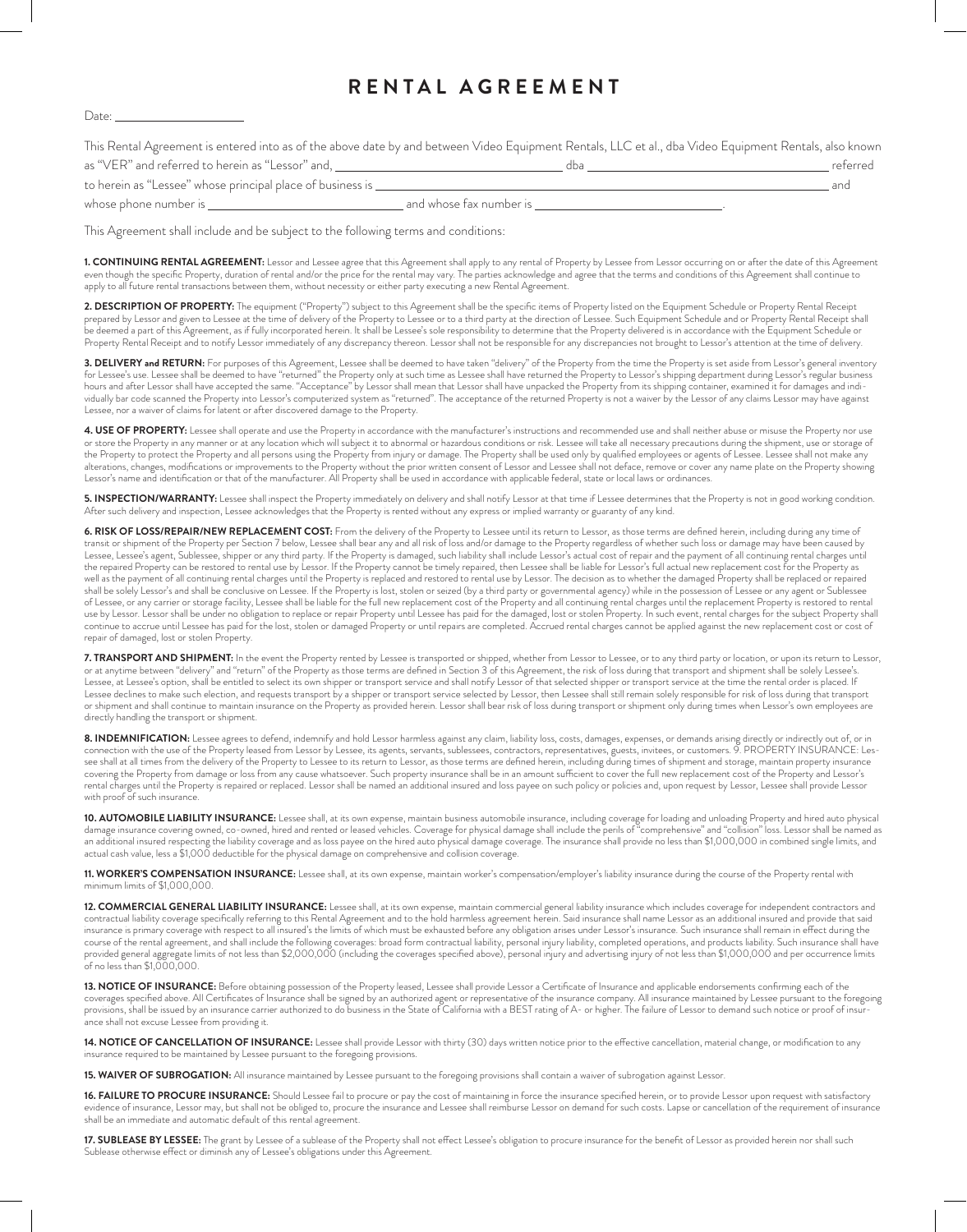## **RENTAL AGREEMENT**

#### Date:

This Rental Agreement is entered into as of the above date by and between Video Equipment Rentals, LLC et al., dba Video Equipment Rentals, also known as "VER" and referred to herein as "Lessor" and, dba referred

| to herein as "Lessee" whose principal place of business is | and |
|------------------------------------------------------------|-----|
|                                                            |     |

whose phone number is  $\frac{1}{1}$ .

This Agreement shall include and be subject to the following terms and conditions:

**1. CONTINUING RENTAL AGREEMENT:** Lessor and Lessee agree that this Agreement shall apply to any rental of Property by Lessee from Lessor occurring on or after the date of this Agreement even though the specific Property, duration of rental and/or the price for the rental may vary. The parties acknowledge and agree that the terms and conditions of this Agreement shall continue to apply to all future rental transactions between them, without necessity or either party executing a new Rental Agreement.

**2. DESCRIPTION OF PROPERTY:** The equipment ("Property") subject to this Agreement shall be the specific items of Property listed on the Equipment Schedule or Property Rental Receipt prepared by Lessor and given to Lessee at the time of delivery of the Property to Lessee or to a third party at the direction of Lessee. Such Equipment Schedule and or Property Rental Receipt shall be deemed a part of this Agreement, as if fully incorporated herein. It shall be Lessee's sole responsibility to determine that the Property delivered is in accordance with the Equipment Schedule or Property Rental Receipt and to notify Lessor immediately of any discrepancy thereon. Lessor shall not be responsible for any discrepancies not brought to Lessor's attention at the time of delivery.

**3. DELIVERY and RETURN:** For purposes of this Agreement, Lessee shall be deemed to have taken "delivery" of the Property from the time the Property is set aside from Lessor's general inventory<br>for Lessee's use. Lessee sha hours and after Lessor shall have accepted the same. "Acceptance" by Lessor shall mean that Lessor shall have unpacked the Property from its shipping container, examined it for damages and individually bar code scanned the Property into Lessor's computerized system as "returned". The acceptance of the returned Property is not a waiver by the Lessor of any claims Lessor may have against Lessee, nor a waiver of claims for latent or after discovered damage to the Property.

4. USE OF PROPERTY: Lessee shall operate and use the Property in accordance with the manufacturer's instructions and recommended use and shall neither abuse or misuse the Property nor use or store the Property in any manner or at any location which will subject it to abnormal or hazardous conditions or risk. Lessee will take all necessary precautions during the shipment, use or storage of the Property to protect the Property and all persons using the Property from injury or damage. The Property shall be used only by qualified employees or agents of Lessee. Lessee shall not make any alterations, changes, modifications or improvements to the Property without the prior written consent of Lessor and Lessee shall not deface, remove or cover any name plate on the Property showing Lessor's name and identification or that of the manufacturer. All Property shall be used in accordance with applicable federal, state or local laws or ordinances.

**5. INSPECTION/WARRANTY:** Lessee shall inspect the Property immediately on delivery and shall notify Lessor at that time if Lessee determines that the Property is not in good working condition. After such delivery and inspection, Lessee acknowledges that the Property is rented without any express or implied warranty or guaranty of any kind.

**6. RISK OF LOSS/REPAIR/NEW REPLACEMENT COST:** From the delivery of the Property to Lessee until its return to Lessor, as those terms are defined herein, including during any time of<br>transit or shipment of the Property per Lessee, Lessee's agent, Sublessee, shipper or any third party. If the Property is damaged, such liability shall include Lessor's actual cost of repair and the payment of all continuing rental charges until the repaired Property can be restored to rental use by Lessor. If the Property cannot be timely repaired, then Lessee shall be liable for Lessor's full actual new replacement cost for the Property as well as the payment of all continuing rental charges until the Property is replaced and restored to rental use by Lessor. The decision as to whether the damaged Property shall be replaced or repaired shall be solely Lessor's and shall be conclusive on Lessee. If the Property is lost, stolen or seized (by a third party or governmental agency) while in the possession of Lessee or any agent or Sublessee of Lessee, or any carrier or storage facility, Lessee shall be liable for the full new replacement cost of the Property and all continuing rental charges until the replacement Property is restored to rental use by Lessor. Lessor shall be under no obligation to replace or repair Property until Lessee has paid for the damaged, lost or stolen Property. In such event, rental charges for the subject Property shall continue to accrue until Lessee has paid for the lost, stolen or damaged Property or until repairs are completed. Accrued rental charges cannot be applied against the new replacement cost or cost of repair of damaged, lost or stolen Property.

**7. TRANSPORT AND SHIPMENT:** In the event the Property rented by Lessee is transported or shipped, whether from Lessor to Lessee, or to any third party or location, or upon its return to Lessor, or at anytime between "delivery" and "return" of the Property as those terms are defined in Section 3 of this Agreement, the risk of loss during that transport and shipment shall be solely Lessee's. Lessee, at Lessee's option, shall be entitled to select its own shipper or transport service and shall notify Lessor of that selected shipper or transport service at the time the rental order is placed. If Lessee declines to make such election, and requests transport by a shipper or transport service selected by Lessor, then Lessee shall still remain solely responsible for risk of loss during that transport or shipment and shall continue to maintain insurance on the Property as provided herein. Lessor shall bear risk of loss during transport or shipment only during times when Lessor's own employees are directly handling the transport or shipment.

**8. INDEMNIFICATION:** Lessee agrees to defend, indemnify and hold Lessor harmless against any claim, liability loss, costs, damages, expenses, or demands arising directly or indirectly out of, or in connection with the use of the Property leased from Lessor by Lessee, its agents, servants, sublessees, contractors, representatives, guests, invitees, or customers. 9. PROPERTY INSURANCE: Lessee shall at all times from the delivery of the Property to Lessee to its return to Lessor, as those terms are defined herein, including during times of shipment and storage, maintain property insurance covering the Property from damage or loss from any cause whatsoever. Such property insurance shall be in an amount sufficient to cover the full new replacement cost of the Property and Lessor's rental charges until the Property is repaired or replaced. Lessor shall be named an additional insured and loss payee on such policy or policies and, upon request by Lessor, Lessee shall provide Lessor with proof of such insurance.

**10. AUTOMOBILE LIABILITY INSURANCE:** Lessee shall, at its own expense, maintain business automobile insurance, including coverage for loading and unloading Property and hired auto physical damage insurance covering owned, co-owned, hired and rented or leased vehicles. Coverage for physical damage shall include the perils of "comprehensive" and "collision" loss. Lessor shall be named as an additional insured respecting the liability coverage and as loss payee on the hired auto physical damage coverage. The insurance shall provide no less than \$1,000,000 in combined single limits, and actual cash value, less a \$1,000 deductible for the physical damage on comprehensive and collision coverage.

**11. WORKER'S COMPENSATION INSURANCE:** Lessee shall, at its own expense, maintain worker's compensation/employer's liability insurance during the course of the Property rental with minimum limits of \$1,000,000.

**12. COMMERCIAL GENERAL LIABILITY INSURANCE:** Lessee shall, at its own expense, maintain commercial general liability insurance which includes coverage for independent contractors and contractual liability coverage specifically referring to this Rental Agreement and to the hold harmless agreement herein. Said insurance shall name Lessor as an additional insured and provide that said insurance is primary coverage with respect to all insured's the limits of which must be exhausted before any obligation arises under Lessor's insurance. Such insurance shall remain in effect during the course of the rental agreement, and shall include the following coverages: broad form contractual liability, personal injury liability, completed operations, and products liability. Such insurance shall have provided general aggregate limits of not less than \$2,000,000 (including the coverages specified above), personal injury and advertising injury of not less than \$1,000,000 and per occurrence limits of no less than \$1,000,000.

**13. NOTICE OF INSURANCE:** Before obtaining possession of the Property leased, Lessee shall provide Lessor a Certificate of Insurance and applicable endorsements confirming each of the coverages specified above. All Certificates of Insurance shall be signed by an authorized agent or representative of the insurance company. All insurance maintained by Lessee pursuant to the foregoing provisions, shall be issued by an insurance carrier authorized to do business in the State of California with a BEST rating of A- or higher. The failure of Lessor to demand such notice or proof of insurance shall not excuse Lessee from providing it.

14. NOTICE OF CANCELLATION OF INSURANCE: Lessee shall provide Lessor with thirty (30) days written notice prior to the effective cancellation, material change, or modification to any insurance required to be maintained by Lessee pursuant to the foregoing provisions.

**15. WAIVER OF SUBROGATION:** All insurance maintained by Lessee pursuant to the foregoing provisions shall contain a waiver of subrogation against Lessor.

**16. FAILURE TO PROCURE INSURANCE:** Should Lessee fail to procure or pay the cost of maintaining in force the insurance specified herein, or to provide Lessor upon request with satisfactory evidence of insurance, Lessor may, but shall not be obliged to, procure the insurance and Lessee shall reimburse Lessor on demand for such costs. Lapse or cancellation of the requirement of insurance shall be an immediate and automatic default of this rental agreement.

**17. SUBLEASE BY LESSEE:** The grant by Lessee of a sublease of the Property shall not effect Lessee's obligation to procure insurance for the benefit of Lessor as provided herein nor shall such Sublease otherwise effect or diminish any of Lessee's obligations under this Agreement.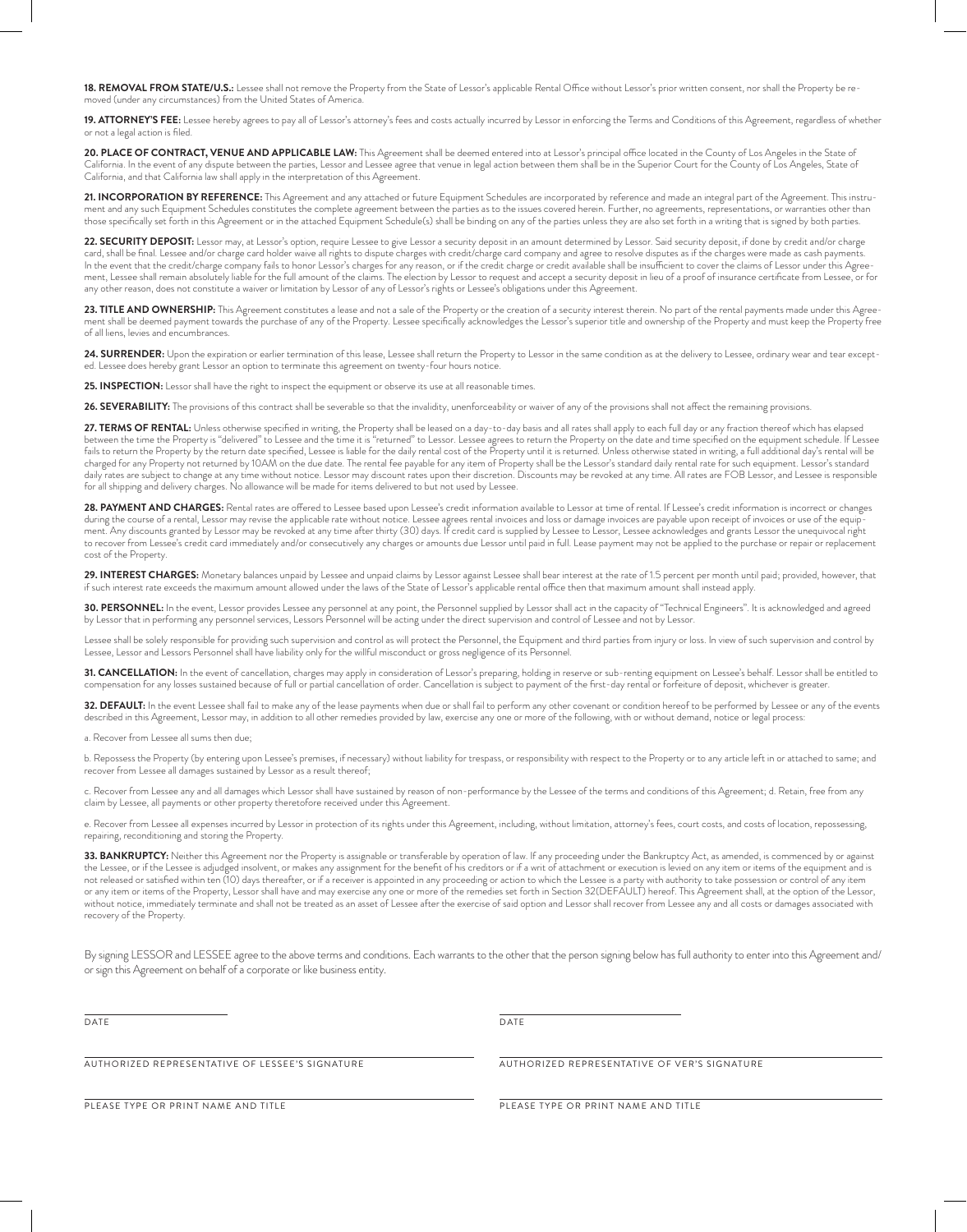**18. REMOVAL FROM STATE/U.S.:** Lessee shall not remove the Property from the State of Lessor's applicable Rental Office without Lessor's prior written consent, nor shall the Property be removed (under any circumstances) from the United States of America.

**19. ATTORNEY'S FEE:** Lessee hereby agrees to pay all of Lessor's attorney's fees and costs actually incurred by Lessor in enforcing the Terms and Conditions of this Agreement, regardless of whether or not a legal action is filed.

20. PLACE OF CONTRACT, VENUE AND APPLICABLE LAW: This Agreement shall be deemed entered into at Lessor's principal office located in the County of Los Angeles in the State of California. In the event of any dispute between the parties, Lessor and Lessee agree that venue in legal action between them shall be in the Superior Court for the County of Los Angeles, State of California, and that California law shall apply in the interpretation of this Agreement.

**21. INCORPORATION BY REFERENCE:** This Agreement and any attached or future Equipment Schedules are incorporated by reference and made an integral part of the Agreement. This instrument and any such Equipment Schedules constitutes the complete agreement between the parties as to the issues covered herein. Further, no agreements, representations, or warranties other than those specifically set forth in this Agreement or in the attached Equipment Schedule(s) shall be binding on any of the parties unless they are also set forth in a writing that is signed by both parties.

22. SECURITY DEPOSIT: Lessor may, at Lessor's option, require Lessee to give Lessor a security deposit in an amount determined by Lessor. Said security deposit, if done by credit and/or charge card, shall be final. Lessee and/or charge card holder waive all rights to dispute charges with credit/charge card company and agree to resolve disputes as if the charges were made as cash payments. In the event that the credit/charge company fails to honor Lessor's charges for any reason, or if the credit charge or credit available shall be insufficient to cover the claims of Lessor under this Agreement, Lessee shall remain absolutely liable for the full amount of the claims. The election by Lessor to request and accept a security deposit in lieu of a proof of insurance certificate from Lessee, or for any other reason, does not constitute a waiver or limitation by Lessor of any of Lessor's rights or Lessee's obligations under this Agreement.

**23. TITLE AND OWNERSHIP:** This Agreement constitutes a lease and not a sale of the Property or the creation of a security interest therein. No part of the rental payments made under this Agree-<br>ment shall be deemed paymen of all liens, levies and encumbrances.

24. SURRENDER: Upon the expiration or earlier termination of this lease, Lessee shall return the Property to Lessor in the same condition as at the delivery to Lessee, ordinary wear and tear excepted. Lessee does hereby grant Lessor an option to terminate this agreement on twenty-four hours notice.

25. INSPECTION: Lessor shall have the right to inspect the equipment or observe its use at all reasonable times.

**26. SEVERABILITY:** The provisions of this contract shall be severable so that the invalidity, unenforceability or waiver of any of the provisions shall not affect the remaining provisions.

27. TERMS OF RENTAL: Unless otherwise specified in writing, the Property shall be leased on a day-to-day basis and all rates shall apply to each full day or any fraction thereof which has elapsed between the time the Property is "delivered" to Lessee and the time it is "returned" to Lessor. Lessee agrees to return the Property on the date and time specified on the equipment schedule. If Lessee fails to return the Property by the return date specified, Lessee is liable for the daily rental cost of the Property until it is returned. Unless otherwise stated in writing, a full additional day's rental will be charged for any Property not returned by 10AM on the due date. The rental fee payable for any item of Property shall be the Lessor's standard daily rental rate for such equipment. Lessor's standard daily rates are subject to change at any time without notice. Lessor may discount rates upon their discretion. Discounts may be revoked at any time. All rates are FOB Lessor, and Lessee is responsible for all shipping and delivery charges. No allowance will be made for items delivered to but not used by Lessee.

**28. PAYMENT AND CHARGES:** Rental rates are offered to Lessee based upon Lessee's credit information available to Lessor at time of rental. If Lessee's credit information is incorrect or changes during the course of a rental, Lessor may revise the applicable rate without notice. Lessee agrees rental invoices and loss or damage invoices are payable upon receipt of invoices or use of the equipment. Any discounts granted by Lessor may be revoked at any time after thirty (30) days. If credit card is supplied by Lessee to Lessor, Lessee acknowledges and grants Lessor the unequivocal right to recover from Lessee's credit card immediately and/or consecutively any charges or amounts due Lessor until paid in full. Lease payment may not be applied to the purchase or repair or replacement cost of the Property.

**29. INTEREST CHARGES:** Monetary balances unpaid by Lessee and unpaid claims by Lessor against Lessee shall bear interest at the rate of 1.5 percent per month until paid; provided, however, that<br>if such interest rate excee

30. PERSONNEL: In the event, Lessor provides Lessee any personnel at any point, the Personnel supplied by Lessor shall act in the capacity of "Technical Engineers". It is acknowledged and agreed by Lessor that in performing any personnel services, Lessors Personnel will be acting under the direct supervision and control of Lessee and not by Lessor.

Lessee shall be solely responsible for providing such supervision and control as will protect the Personnel, the Equipment and third parties from injury or loss. In view of such supervision and control by Lessee, Lessor and Lessors Personnel shall have liability only for the willful misconduct or gross negligence of its Personnel.

**31. CANCELLATION:** In the event of cancellation, charges may apply in consideration of Lessor's preparing, holding in reserve or sub-renting equipment on Lessee's behalf. Lessor shall be entitled to<br>compensation for any l

32. DEFAULT: In the event Lessee shall fail to make any of the lease payments when due or shall fail to perform any other covenant or condition hereof to be performed by Lessee or any of the events described in this Agreement, Lessor may, in addition to all other remedies provided by law, exercise any one or more of the following, with or without demand, notice or legal process:

a. Recover from Lessee all sums then due;

b. Repossess the Property (by entering upon Lessee's premises, if necessary) without liability for trespass, or responsibility with respect to the Property or to any article left in or attached to same; and recover from Lessee all damages sustained by Lessor as a result thereof;

c. Recover from Lessee any and all damages which Lessor shall have sustained by reason of non-performance by the Lessee of the terms and conditions of this Agreement; d. Retain, free from any claim by Lessee, all payments or other property theretofore received under this Agreement.

e. Recover from Lessee all expenses incurred by Lessor in protection of its rights under this Agreement, including, without limitation, attorney's fees, court costs, and costs of location, repossessing, repairing, reconditioning and storing the Property.

**33. BANKRUPTCY:** Neither this Agreement nor the Property is assignable or transferable by operation of law. If any proceeding under the Bankruptcy Act, as amended, is commenced by or against the Lessee, or if the Lessee is adjudged insolvent, or makes any assignment for the benefit of his creditors or if a writ of attachment or execution is levied on any item or items of the equipment and is not released or satisfied within ten (10) days thereafter, or if a receiver is appointed in any proceeding or action to which the Lessee is a party with authority to take possession or control of any item or any item or items of the Property, Lessor shall have and may exercise any one or more of the remedies set forth in Section 32(DEFAULT) hereof. This Agreement shall, at the option of the Lessor, without notice, immediately terminate and shall not be treated as an asset of Lessee after the exercise of said option and Lessor shall recover from Lessee any and all costs or damages associated with recovery of the Property.

By signing LESSOR and LESSEE agree to the above terms and conditions. Each warrants to the other that the person signing below has full authority to enter into this Agreement and/ or sign this Agreement on behalf of a corporate or like business entity.

DATE DATE DESCRIPTION OF PROPERTY AND LOCAL CONTRACT OF DATE OF A SECOND USE OF DATE OF A SECOND USE OF A SECOND USE OF A SECOND USE OF A SECOND USE OF A SECOND USE OF A SECOND USE OF A SECOND USE OF A SECOND USE OF A SECO

AUTHORIZED REPRESENTATIVE OF LESSEE'S SIGNATURE AUTHORIZED REPRESENTATIVE OF VER'S SIGNATURE

PLEASE TYPE OR PRINT NAME AND TITLE THE PLEASE TYPE OR PRINT NAME AND TITLE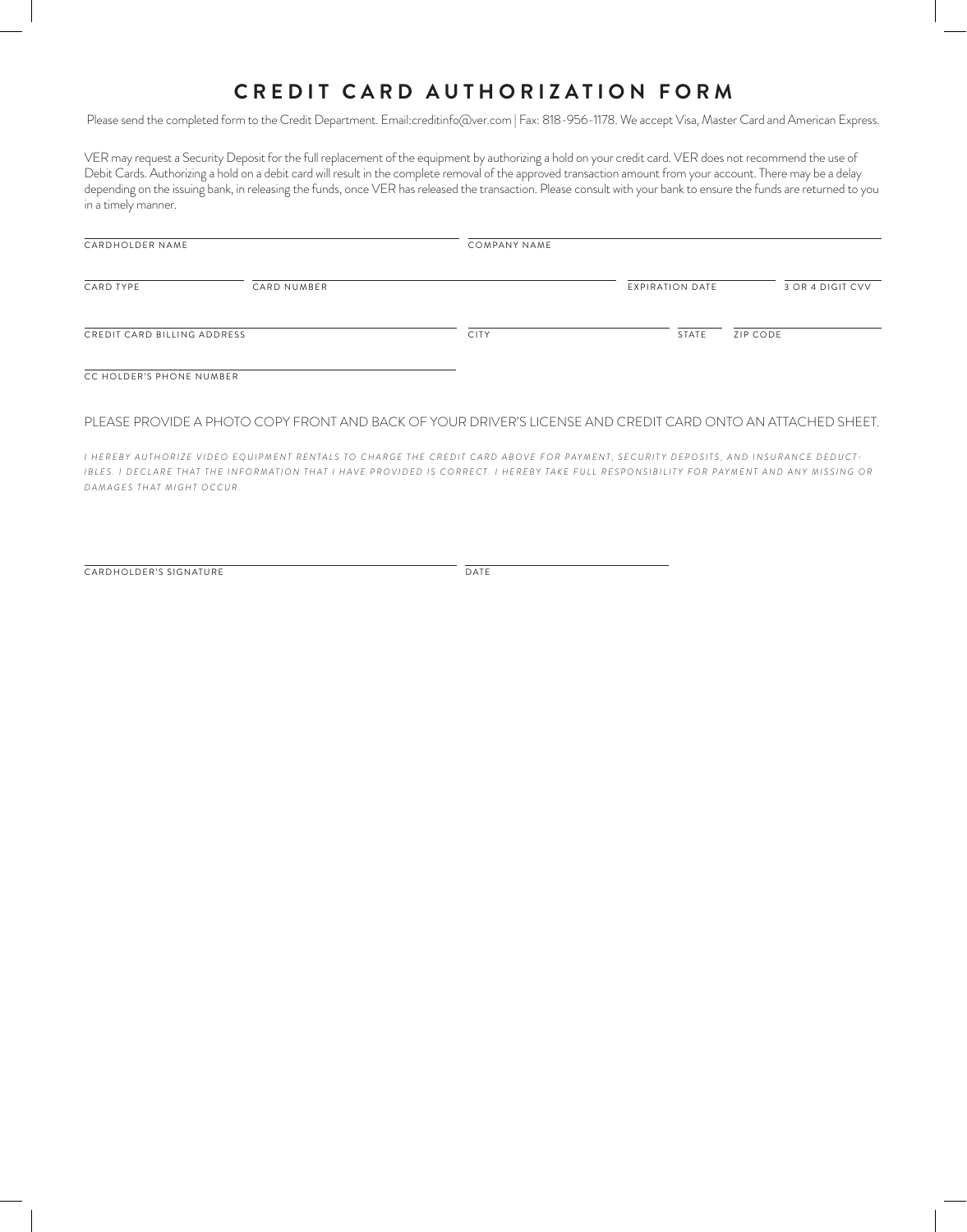# **CREDIT CARD AUTHORIZATION FORM**

Please send the completed form to the Credit Department. Email:creditinfo@ver.com | Fax: 818-956-1178. We accept Visa, Master Card and American Express.

VER may request a Security Deposit for the full replacement of the equipment by authorizing a hold on your credit card. VER does not recommend the use of Debit Cards. Authorizing a hold on a debit card will result in the complete removal of the approved transaction amount from your account. There may be a delay depending on the issuing bank, in releasing the funds, once VER has released the transaction. Please consult with your bank to ensure the funds are returned to you in a timely manner.

| CARDHOLDER NAME             |             | COMPANY NAME |                        |                  |
|-----------------------------|-------------|--------------|------------------------|------------------|
| CARD TYPE                   | CARD NUMBER |              | <b>EXPIRATION DATE</b> | 3 OR 4 DIGIT CVV |
| CREDIT CARD BILLING ADDRESS |             | <b>CITY</b>  | STATE                  | ZIP CODE         |
| CC HOLDER'S PHONE NUMBER    |             |              |                        |                  |

### PLEASE PROVIDE A PHOTO COPY FRONT AND BACK OF YOUR DRIVER'S LICENSE AND CREDIT CARD ONTO AN ATTACHED SHEET.

*I HEREBY AUTHORIZE VIDEO EQUIPMENT RENTALS TO CHARGE THE CREDIT CARD ABOVE FOR PAYMENT, SECURITY DEPOSITS, AND INSURANCE DEDUCT -* IBLES. I DECLARE THAT THE INFORMATION THAT I HAVE PROVIDED IS CORRECT. I HEREBY TAKE FULL RESPONSIBILITY FOR PAYMENT AND ANY MISSING OR *DAMAGES THAT MIGHT OCCUR.*

CARDHOLDER'S SIGNATURE DATE